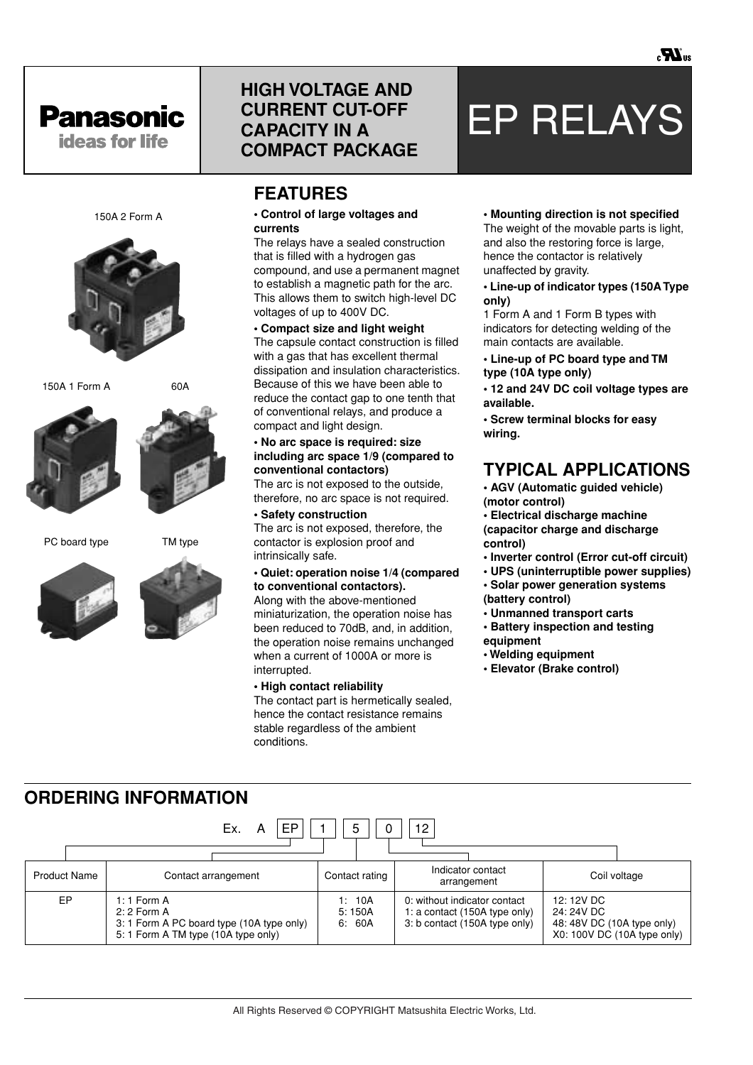

150A 2 Form A

150A 1 Form A 60A

# **HIGH VOLTAGE AND CURRENT CUT-OFF CAPACITY IN A COMPACT PACKAGE**

# **FEATURES**

#### **• Control of large voltages and currents**

The relays have a sealed construction that is filled with a hydrogen gas compound, and use a permanent magnet to establish a magnetic path for the arc. This allows them to switch high-level DC voltages of up to 400V DC.

**• Compact size and light weight** The capsule contact construction is filled with a gas that has excellent thermal dissipation and insulation characteristics. Because of this we have been able to reduce the contact gap to one tenth that of conventional relays, and produce a compact and light design.

#### **• No arc space is required: size including arc space 1/9 (compared to conventional contactors)**

The arc is not exposed to the outside, therefore, no arc space is not required.

### **• Safety construction**

The arc is not exposed, therefore, the contactor is explosion proof and intrinsically safe.

#### **• Quiet: operation noise 1/4 (compared to conventional contactors).**

Along with the above-mentioned miniaturization, the operation noise has been reduced to 70dB, and, in addition, the operation noise remains unchanged when a current of 1000A or more is interrupted.

#### **• High contact reliability**

The contact part is hermetically sealed, hence the contact resistance remains stable regardless of the ambient conditions.

#### **• Mounting direction is not specified**

EP RELAYS

The weight of the movable parts is light, and also the restoring force is large, hence the contactor is relatively unaffected by gravity.

#### **• Line-up of indicator types (150A Type only)**

1 Form A and 1 Form B types with indicators for detecting welding of the main contacts are available.

**• Line-up of PC board type and TM type (10A type only)**

**• 12 and 24V DC coil voltage types are available.**

**• Screw terminal blocks for easy wiring.**

## **TYPICAL APPLICATIONS**

**• AGV (Automatic guided vehicle) (motor control)**

**• Electrical discharge machine (capacitor charge and discharge control)**

- **Inverter control (Error cut-off circuit)**
- **UPS (uninterruptible power supplies)**
- **Solar power generation systems (battery control)**
- **Unmanned transport carts**
- **Battery inspection and testing equipment**
- **Welding equipment**
- **Elevator (Brake control)**

| <b>ORDERING INFORMATION</b> |  |                               |  |  |
|-----------------------------|--|-------------------------------|--|--|
|                             |  | $E_y = A$ $ ED  1  E  0  12 $ |  |  |

|                     | $\mathsf{L}\wedge\mathsf{L}\wedge\mathsf{L}\wedge\mathsf{L}\wedge\mathsf{L}\wedge\mathsf{L}\wedge\mathsf{L}\wedge\mathsf{L}\wedge\mathsf{L}\wedge\mathsf{L}\wedge\mathsf{L}\wedge\mathsf{L}\wedge\mathsf{L}\wedge\mathsf{L}\wedge\mathsf{L}\wedge\mathsf{L}\wedge\mathsf{L}\wedge\mathsf{L}\wedge\mathsf{L}\wedge\mathsf{L}\wedge\mathsf{L}\wedge\mathsf{L}\wedge\mathsf{L}\wedge\mathsf{L}\wedge\mathsf{L}\wedge\mathsf{L}\wedge\mathsf{L}\wedge\mathsf{$ | ັ                          | 1 L                                                                                            |                                                                                       |
|---------------------|------------------------------------------------------------------------------------------------------------------------------------------------------------------------------------------------------------------------------------------------------------------------------------------------------------------------------------------------------------------------------------------------------------------------------------------------------------|----------------------------|------------------------------------------------------------------------------------------------|---------------------------------------------------------------------------------------|
| <b>Product Name</b> | Contact arrangement                                                                                                                                                                                                                                                                                                                                                                                                                                        | Contact rating             | Indicator contact<br>arrangement                                                               | Coil voltage                                                                          |
| EP                  | 1:1 Form $A$<br>$2:2$ Form A<br>3: 1 Form A PC board type (10A type only)<br>5: 1 Form A TM type (10A type only)                                                                                                                                                                                                                                                                                                                                           | 1: 10A<br>5:150A<br>6: 60A | 0: without indicator contact<br>1: a contact (150A type only)<br>3: b contact (150A type only) | 12: 12V DC<br>24: 24V DC<br>48: 48V DC (10A type only)<br>X0: 100V DC (10A type only) |





PC board type TM type

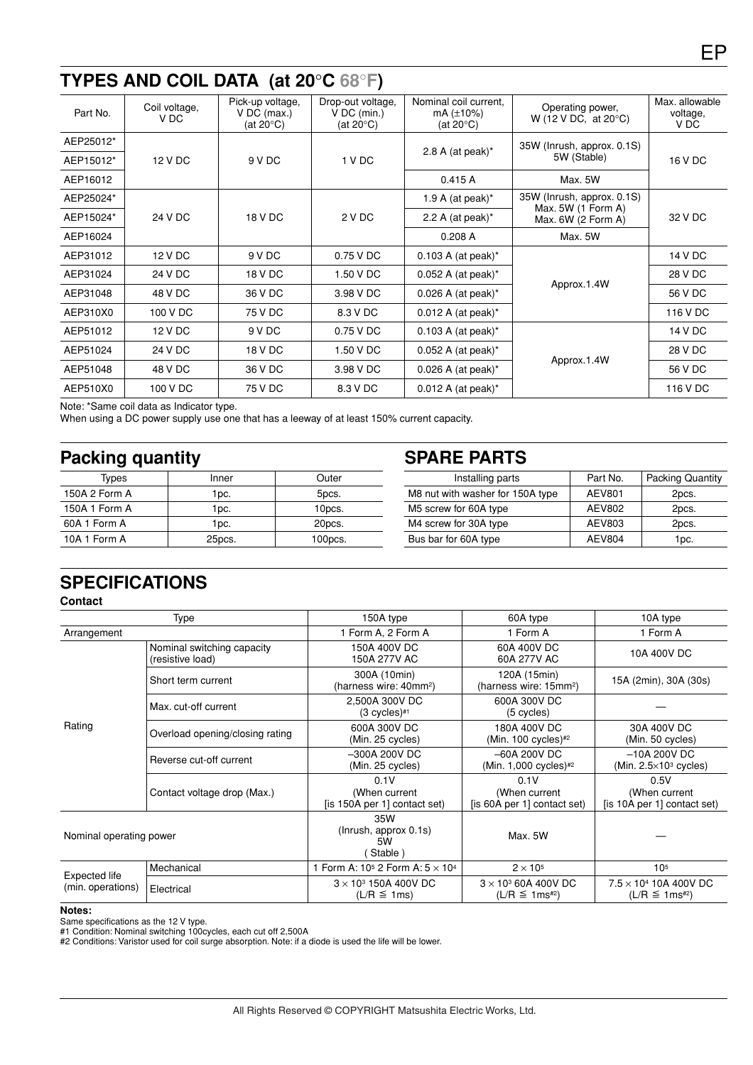# **TYPES AND COIL DATA (at 20**°**C 68**°**F)**

| Coil voltage,<br>V DC | Pick-up voltage,<br>$V$ DC (max.)<br>(at 20 $\degree$ C) | Drop-out voltage.<br>$V$ DC (min.)<br>(at 20 $\degree$ C) | Nominal coil current.<br>mA $(\pm 10\%)$<br>(at $20^{\circ}$ C) | Operating power,<br>W (12 V DC, at $20^{\circ}$ C) | Max. allowable<br>voltage,<br>V DC               |
|-----------------------|----------------------------------------------------------|-----------------------------------------------------------|-----------------------------------------------------------------|----------------------------------------------------|--------------------------------------------------|
|                       |                                                          |                                                           |                                                                 | 35W (Inrush, approx. 0.1S)                         |                                                  |
| 12 V DC               | 9 V DC                                                   | 1 V DC                                                    |                                                                 | 5W (Stable)                                        | 16 V DC                                          |
|                       |                                                          |                                                           | 0.415A                                                          | Max. 5W                                            |                                                  |
|                       |                                                          |                                                           | 1.9 A (at peak) $*$                                             | 35W (Inrush, approx. 0.1S)                         |                                                  |
| 24 V DC               | 18 V DC                                                  | 2 V DC                                                    | 2.2 A (at peak) $*$                                             | Max. $6W$ (2 Form A)                               | 32 V DC                                          |
|                       |                                                          |                                                           | 0.208A                                                          | Max. 5W                                            |                                                  |
| 12 V DC               | 9 V DC                                                   | 0.75 V DC                                                 | $0.103$ A (at peak) <sup>*</sup>                                |                                                    | 14 V DC                                          |
| 24 V DC               | 18 V DC                                                  | 1.50 V DC                                                 | $0.052$ A (at peak)*                                            |                                                    | 28 V DC                                          |
| 48 V DC               | 36 V DC                                                  | 3.98 V DC                                                 | $0.026$ A (at peak)*                                            |                                                    | 56 V DC                                          |
| 100 V DC              | 75 V DC                                                  | 8.3 V DC                                                  | $0.012$ A (at peak) <sup>*</sup>                                |                                                    | 116 V DC                                         |
| 12 V DC               | 9 V DC                                                   | 0.75 V DC                                                 | $0.103$ A (at peak)*                                            |                                                    | 14 V DC                                          |
| 24 V DC               | 18 V DC                                                  | 1.50 V DC                                                 | $0.052$ A (at peak) <sup>*</sup>                                |                                                    | 28 V DC                                          |
| 48 V DC               | 36 V DC                                                  | 3.98 V DC                                                 | $0.026$ A (at peak) <sup>*</sup>                                |                                                    | 56 V DC                                          |
| 100 V DC              | 75 V DC                                                  | 8.3 V DC                                                  | $0.012$ A (at peak)*                                            |                                                    | 116 V DC                                         |
|                       |                                                          |                                                           |                                                                 | 2.8 A (at peak) $*$                                | Max. 5W (1 Form A)<br>Approx.1.4W<br>Approx.1.4W |

Note: \*Same coil data as Indicator type.

When using a DC power supply use one that has a leeway of at least 150% current capacity.

# Packing quantity **SPARE PARTS**

| Types         | Inner  | Outer   |  |
|---------------|--------|---------|--|
| 150A 2 Form A | 1pc.   | 5pcs.   |  |
| 150A 1 Form A | 1pc.   | 10pcs.  |  |
| 60A 1 Form A  | 1pc.   | 20pcs.  |  |
| 10A 1 Form A  | 25pcs. | 100pcs. |  |

| Installing parts                 | Part No. | <b>Packing Quantity</b> |
|----------------------------------|----------|-------------------------|
| M8 nut with washer for 150A type | AEV801   | 2pcs.                   |
| M5 screw for 60A type            | AEV802   | 2pcs.                   |
| M4 screw for 30A type            | AEV803   | 2pcs.                   |
| Bus bar for 60A type             | AEV804   | 1pc.                    |
|                                  |          |                         |

# **SPECIFICATIONS**

#### **Contact**

|                                    | Type                                           | 150A type                                             | 60A type                                             | 10A type                                             |
|------------------------------------|------------------------------------------------|-------------------------------------------------------|------------------------------------------------------|------------------------------------------------------|
| Arrangement                        |                                                | 1 Form A, 2 Form A                                    | 1 Form A                                             | 1 Form A                                             |
|                                    | Nominal switching capacity<br>(resistive load) | 150A 400V DC<br>150A 277V AC                          | 60A 400V DC<br>60A 277V AC                           | 10A 400V DC                                          |
| Rating                             | Short term current                             | 300A (10min)<br>(harness wire: 40mm <sup>2</sup> )    | 120A (15min)<br>(harness wire: 15mm <sup>2</sup> )   | 15A (2min), 30A (30s)                                |
|                                    | Max. cut-off current                           | 2,500A 300V DC<br>$(3$ cycles) $#1$                   | 600A 300V DC<br>$(5$ cycles)                         |                                                      |
|                                    | Overload opening/closing rating                | 600A 300V DC<br>(Min. 25 cycles)                      | 180A 400V DC<br>(Min. 100 cycles) $#2$               | 30A 400V DC<br>(Min. 50 cycles)                      |
|                                    | Reverse cut-off current                        | -300A 200V DC<br>(Min. 25 cycles)                     | $-60A 200V$ DC<br>(Min. 1,000 cycles)#2              | $-10A 200V$ DC<br>(Min. $2.5 \times 10^3$ cycles)    |
|                                    | Contact voltage drop (Max.)                    | 0.1V<br>(When current<br>(is 150A per 1) contact set) | 0.1V<br>(When current<br>(is 60A per 1) contact set) | 0.5V<br>(When current<br>(is 10A per 1) contact set) |
| Nominal operating power            |                                                | 35W<br>(Inrush, approx 0.1s)<br>5W<br>Stable)         | Max. 5W                                              |                                                      |
|                                    | Mechanical                                     | 1 Form A: $10^5$ 2 Form A: $5 \times 10^4$            | $2 \times 10^5$                                      | 10 <sup>5</sup>                                      |
| Expected life<br>(min. operations) | Electrical                                     | $3 \times 10^3$ 150A 400V DC<br>$(L/R \le 1ms)$       | $3 \times 10^3$ 60A 400V DC<br>$(L/R \le 1ms^{2})$   | $7.5 \times 10^4$ 10A 400V DC<br>$(L/R \le 1ms^{2})$ |

#### **Notes:**

Same specifications as the 12 V type.

#1 Condition: Nominal switching 100cycles, each cut off 2,500A

#2 Conditions: Varistor used for coil surge absorption. Note: if a diode is used the life will be lower.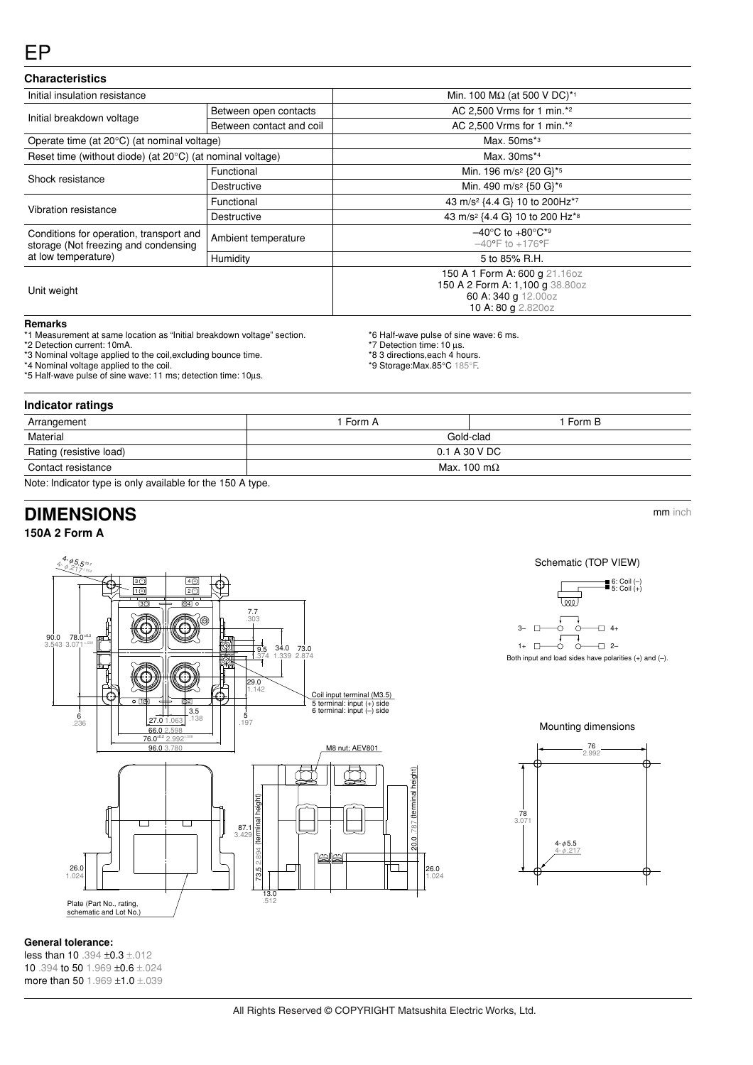### EP

#### **Characteristics**

| Initial insulation resistance                                                   |                          | Min. 100 ΜΩ (at 500 V DC)* <sup>1</sup>                                                                       |  |  |
|---------------------------------------------------------------------------------|--------------------------|---------------------------------------------------------------------------------------------------------------|--|--|
|                                                                                 | Between open contacts    | AC 2,500 Vrms for 1 min.*2                                                                                    |  |  |
| Initial breakdown voltage                                                       | Between contact and coil | AC 2,500 Vrms for 1 min.*2                                                                                    |  |  |
| Operate time (at 20°C) (at nominal voltage)                                     |                          | Max. 50ms*3                                                                                                   |  |  |
| Reset time (without diode) (at $20^{\circ}$ C) (at nominal voltage)             |                          | Max. 30ms*4                                                                                                   |  |  |
| Shock resistance                                                                | Functional               | Min. 196 m/s <sup>2</sup> {20 G}* <sup>5</sup>                                                                |  |  |
|                                                                                 | Destructive              | Min. 490 m/s <sup>2</sup> {50 G}* <sup>6</sup>                                                                |  |  |
| Vibration resistance                                                            | Functional               | 43 m/s <sup>2</sup> {4.4 G} 10 to 200Hz <sup>*7</sup>                                                         |  |  |
|                                                                                 | Destructive              | 43 m/s <sup>2</sup> {4.4 G} 10 to 200 Hz <sup>*8</sup>                                                        |  |  |
| Conditions for operation, transport and<br>storage (Not freezing and condensing | Ambient temperature      | $-40^{\circ}$ C to $+80^{\circ}$ C <sup>*9</sup><br>$-40^{\circ}$ F to $+176^{\circ}$ F                       |  |  |
| at low temperature)                                                             | Humidity                 | 5 to 85% R.H.                                                                                                 |  |  |
| Unit weight                                                                     |                          | 150 A 1 Form A: 600 g 21.16oz<br>150 A 2 Form A: 1,100 g 38.80oz<br>60 A: 340 g 12.00oz<br>10 A: 80 g 2.820oz |  |  |

#### **Remarks**

\*1 Measurement at same location as "Initial breakdown voltage" section.

\*2 Detection current: 10mA.

\*3 Nominal voltage applied to the coil,excluding bounce time.

\*4 Nominal voltage applied to the coil.

- \*5 Half-wave pulse of sine wave: 11 ms; detection time: 10µs.
- 

#### **Indicator ratings**

| Arrangement                                                                                                                | 1 Form A            | 1 Form B |  |  |  |
|----------------------------------------------------------------------------------------------------------------------------|---------------------|----------|--|--|--|
| Material                                                                                                                   | Gold-clad           |          |  |  |  |
| Rating (resistive load)                                                                                                    | 0.1 A 30 V DC       |          |  |  |  |
| Contact resistance                                                                                                         | Max. 100 m $\Omega$ |          |  |  |  |
| <b>All and the distribution of the state of a state formula of <math>\mathbb{R}</math> All and <math>\mathbb{R}</math></b> |                     |          |  |  |  |

\*6 Half-wave pulse of sine wave: 6 ms.

\*7 Detection time: 10 µs. \*8 3 directions,each 4 hours. \*9 Storage:Max.85°C 185°F.

Note: Indicator type is only available for the 150 A type.

# **DIMENSIONS** mm inch

### **150A 2 Form A**

 $4.95.5401$  $30$ € 4<u>F</u><br>2C Ć  $\overline{10}$ 30 <del>-</del> 04 7.7 <sup>3</sup>4<sup>5</sup> 678 .303 <sup>2</sup>9 Œ 1 ZYX. **90.0 78.0**<br>3.543 3.071 65 $\frac{3.543}{1}$   $\frac{3.071}{1}$   $\frac{1}{2}$   $\frac{1}{2}$   $\frac{1}{2}$   $\frac{1}{2}$   $\frac{1}{2}$   $\frac{1}{2}$   $\frac{1}{2}$   $\frac{1}{2}$   $\frac{1}{2}$   $\frac{1}{2}$   $\frac{1}{2}$ **34.0 73.0**<br>1.339 2.874 .374 7 29.0 1.142 Coil input terminal (M3.5) 160 <del>- 110</del> - 102  $\begin{array}{|c|c|c|c|c|}\n\hline\n\text{I} & \text{I} & \text{I} & \text{I} & \text{I} & \text{I} & \text{I} & \text{I} & \text{I} & \text{I} & \text{I} & \text{I} \\
\hline\n\text{I} & \text{I} & \text{I} & \text{I} & \text{I} & \text{I} & \text{I} & \text{I} & \text{I} \\
\hline\n\text{I} & \text{I} & \text{I} & \text{I} & \text{I} & \text{I} & \text{I} & \text{I} & \text{I} & \text{I} \\
\hline\n$  $-3.5$  $\frac{6}{236}$ 5 27.0 1.063 .197  $\frac{66.0 2.598}{76.0^{40.2} 2.992}$ 96.0 3.7 M8 nut; AEV801 (terminal height) 20.0 .787 (terminal height) 73.5 2.894 (terminal height) heidr  $\Box$  $\Box$ minal 87.1 3.42 20.0 ┐ 26.0 1.024 26.0 1.024 13.0 .512 Plate (Part No., rating, schematic and Lot No.)



Mounting dimensions



#### **General tolerance:**

less than 10 .394 ±0.3 ±.012 10 .394 to 50 1.969 ±0.6 ±.024 more than 50 1.969 ±1.0 ±.039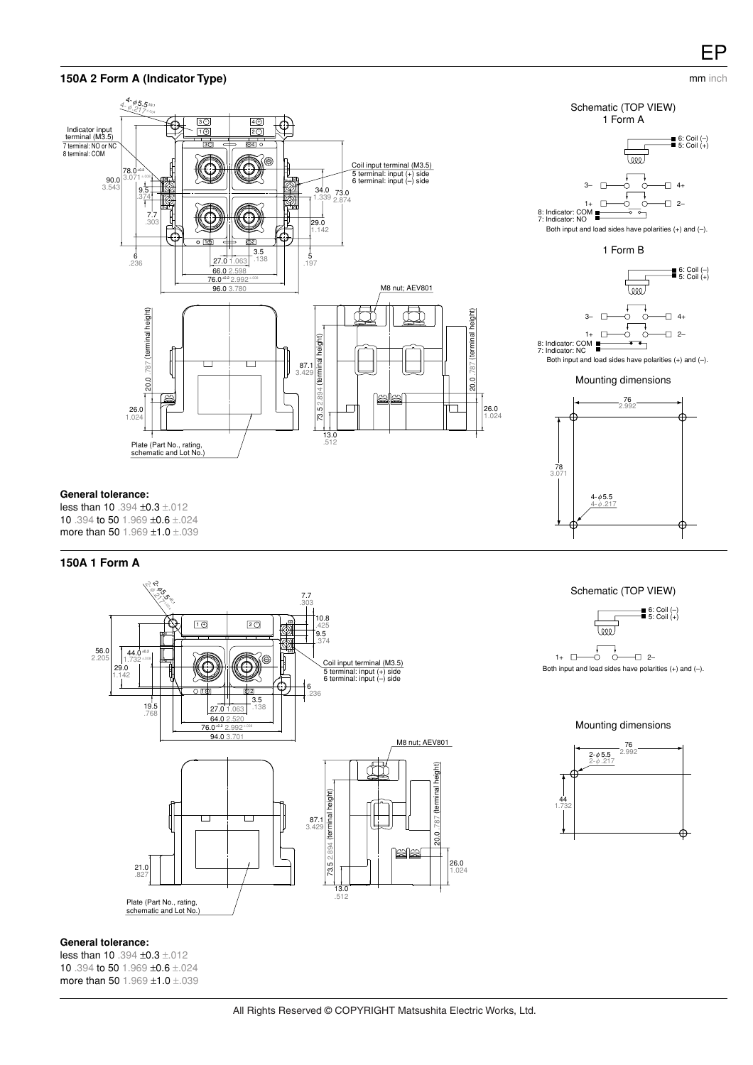# EP

#### mm inch









Mounting dimensions



**General tolerance:**

less than 10 .394 ±0.3 ±.012 10 .394 to 50 1.969 ±0.6 ±.024 more than 50 1.969 ±1.0 ±.039

#### **150A 1 Form A**



Schematic (TOP VIEW)



Mounting dimensions



#### **General tolerance:**

less than 10 .394 ±0.3 ±.012 10 .394 to 50 1.969 ±0.6 ±.024 more than 50 1.969 ±1.0 ±.039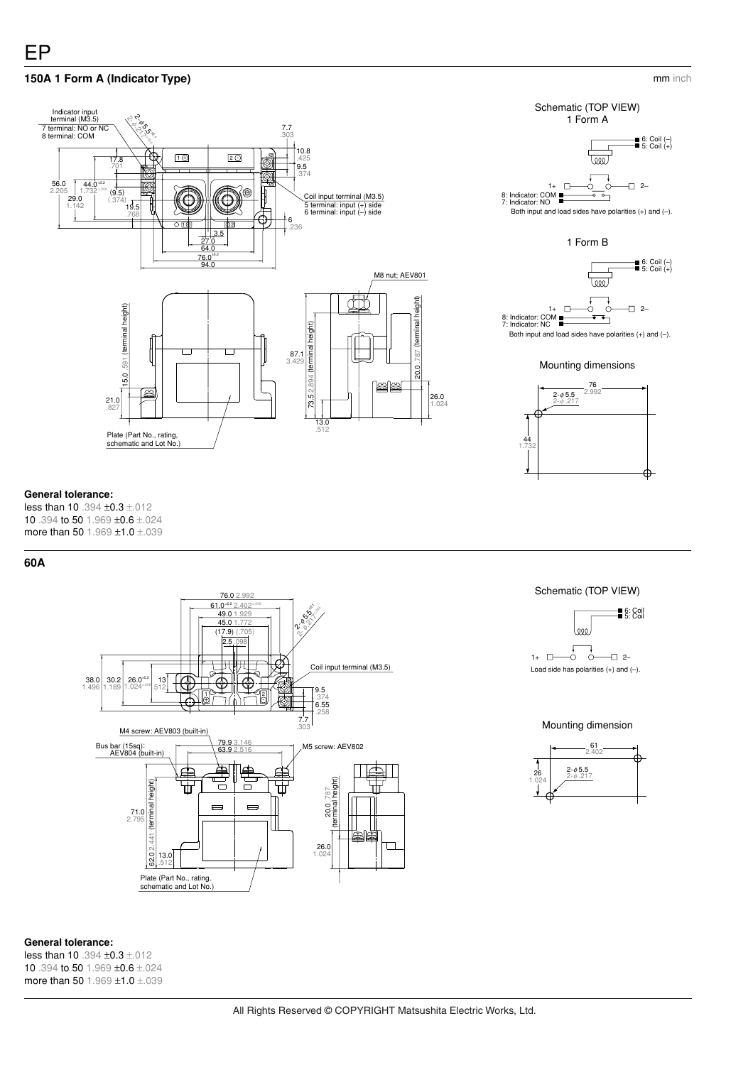### **150A 1 Form A (Indicator Type)**



## Schematic (TOP VIEW) 1 Form A 6: Coil (–) 5: Coil (+) leee  $1+$   $\Box$   $\rightarrow$   $\rightarrow$   $\Box$   $\rightarrow$ 8: Indicator: COM 7: Indicator: NO Both input and load sides have polarities (+) and (–). 1 Form B

mm inch



Mounting dimensions



#### **General tolerance:**

less than 10 .394  $\pm$ 0.3  $\pm$ .012 10 .394 to 50 1.969 ±0.6 ±.024 more than 50 1.969 ±1.0 ±.039

#### **60A**



Schematic (TOP VIEW)



Mounting dimension



### **General tolerance:**

less than 10 .394 ±0.3 ±.012 10 .394 to 50 1.969 ±0.6 ±.024 more than 50 1.969 ±1.0 ±.039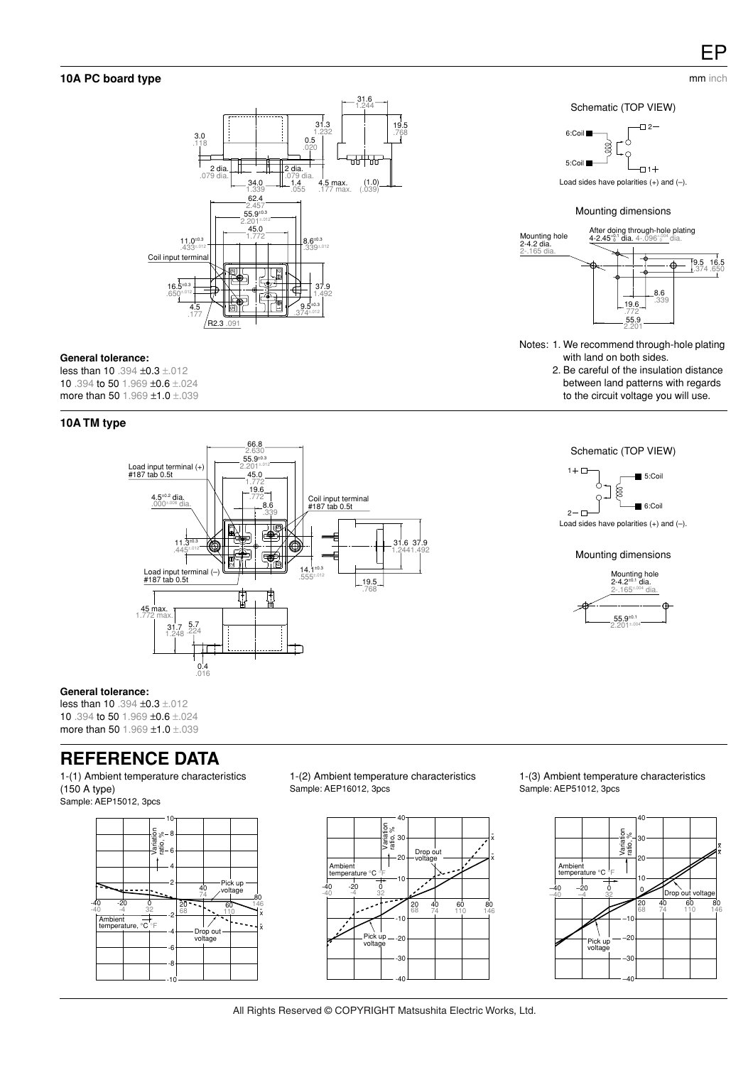mm inch

#### **10A PC board type**



#### **General tolerance:**

less than 10 .394 ±0.3 ±.012 10 .394 to 50 1.969 ±0.6 ±.024 more than 50 1.969  $\pm$ 1.0  $\pm$ .039

#### **10A TM type**



#### **General tolerance:**

less than 10 .394 ±0.3 ±.012 10 .394 to 50 1.969 ±0.6 ±.024 more than 50 1.969  $\pm$ 1.0  $\pm$ .039

### **REFERENCE DATA**

1-(1) Ambient temperature characteristics (150 A type) Sample: AEP15012, 3pcs



1-(2) Ambient temperature characteristics Sample: AEP16012, 3pcs



1-(3) Ambient temperature characteristics Sample: AEP51012, 3pcs



### Schematic (TOP VIEW)



Load sides have polarities  $(+)$  and  $(-)$ .

### Mounting dimensions



- Notes: 1. We recommend through-hole plating with land on both sides.
	- 2. Be careful of the insulation distance between land patterns with regards to the circuit voltage you will use.





Load sides have polarities (+) and (–).

#### Mounting dimensions

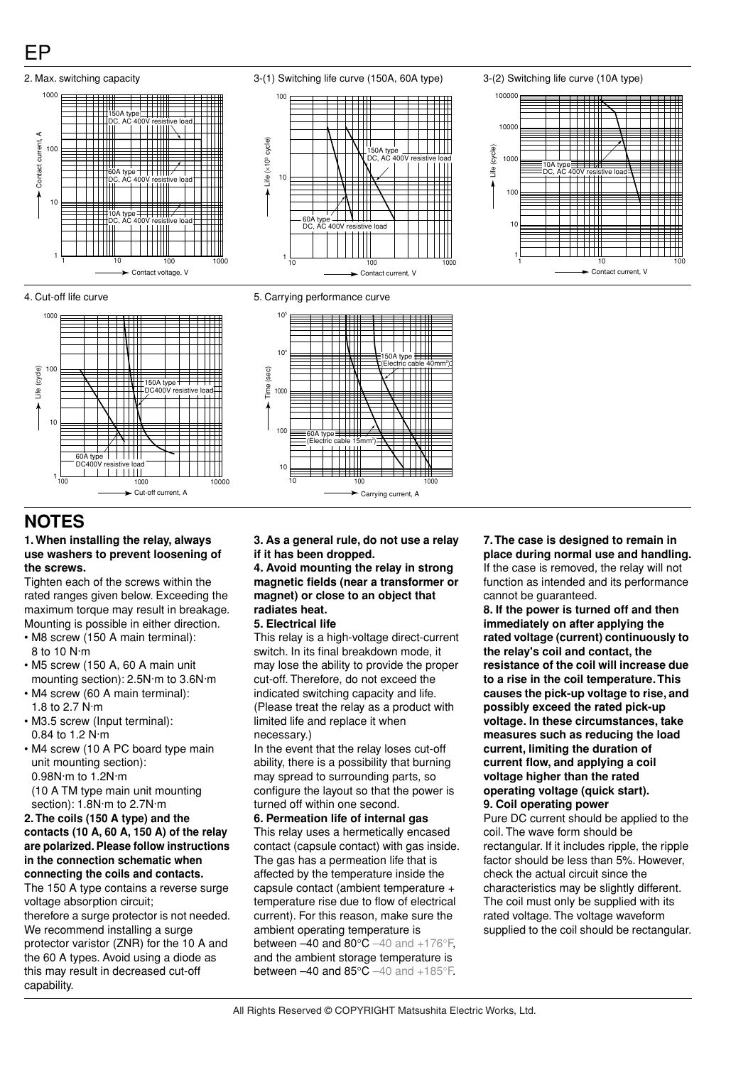







### **NOTES**

#### **1. When installing the relay, always use washers to prevent loosening of the screws.**

Tighten each of the screws within the rated ranges given below. Exceeding the maximum torque may result in breakage. Mounting is possible in either direction.

- M8 screw (150 A main terminal): 8 to 10 N·m
- M5 screw (150 A, 60 A main unit mounting section): 2.5N·m to 3.6N·m
- M4 screw (60 A main terminal): 1.8 to 2.7 N·m
- M3.5 screw (Input terminal): 0.84 to 1.2 N·m
- M4 screw (10 A PC board type main unit mounting section): 0.98N·m to 1.2N·m (10 A TM type main unit mounting section): 1.8N·m to 2.7N·m

#### **2. The coils (150 A type) and the contacts (10 A, 60 A, 150 A) of the relay are polarized. Please follow instructions in the connection schematic when connecting the coils and contacts.**

The 150 A type contains a reverse surge voltage absorption circuit; therefore a surge protector is not needed.

We recommend installing a surge protector varistor (ZNR) for the 10 A and the 60 A types. Avoid using a diode as this may result in decreased cut-off capability.

**3. As a general rule, do not use a relay if it has been dropped.**

**4. Avoid mounting the relay in strong magnetic fields (near a transformer or magnet) or close to an object that radiates heat.**

#### **5. Electrical life**

This relay is a high-voltage direct-current switch. In its final breakdown mode, it may lose the ability to provide the proper cut-off. Therefore, do not exceed the indicated switching capacity and life. (Please treat the relay as a product with limited life and replace it when necessary.)

In the event that the relay loses cut-off ability, there is a possibility that burning may spread to surrounding parts, so configure the layout so that the power is turned off within one second.

**6. Permeation life of internal gas** This relay uses a hermetically encased contact (capsule contact) with gas inside. The gas has a permeation life that is affected by the temperature inside the capsule contact (ambient temperature + temperature rise due to flow of electrical current). For this reason, make sure the ambient operating temperature is between  $-40$  and  $80^{\circ}$ C  $-40$  and  $+176^{\circ}$ F, and the ambient storage temperature is between  $-40$  and  $85^{\circ}$ C  $-40$  and  $+185^{\circ}$ F.

**7. The case is designed to remain in place during normal use and handling.** If the case is removed, the relay will not function as intended and its performance cannot be guaranteed.

**8. If the power is turned off and then immediately on after applying the rated voltage (current) continuously to the relay's coil and contact, the resistance of the coil will increase due to a rise in the coil temperature. This causes the pick-up voltage to rise, and possibly exceed the rated pick-up voltage. In these circumstances, take measures such as reducing the load current, limiting the duration of current flow, and applying a coil voltage higher than the rated operating voltage (quick start).**

#### **9. Coil operating power**

Pure DC current should be applied to the coil. The wave form should be rectangular. If it includes ripple, the ripple factor should be less than 5%. However, check the actual circuit since the characteristics may be slightly different. The coil must only be supplied with its rated voltage. The voltage waveform supplied to the coil should be rectangular.